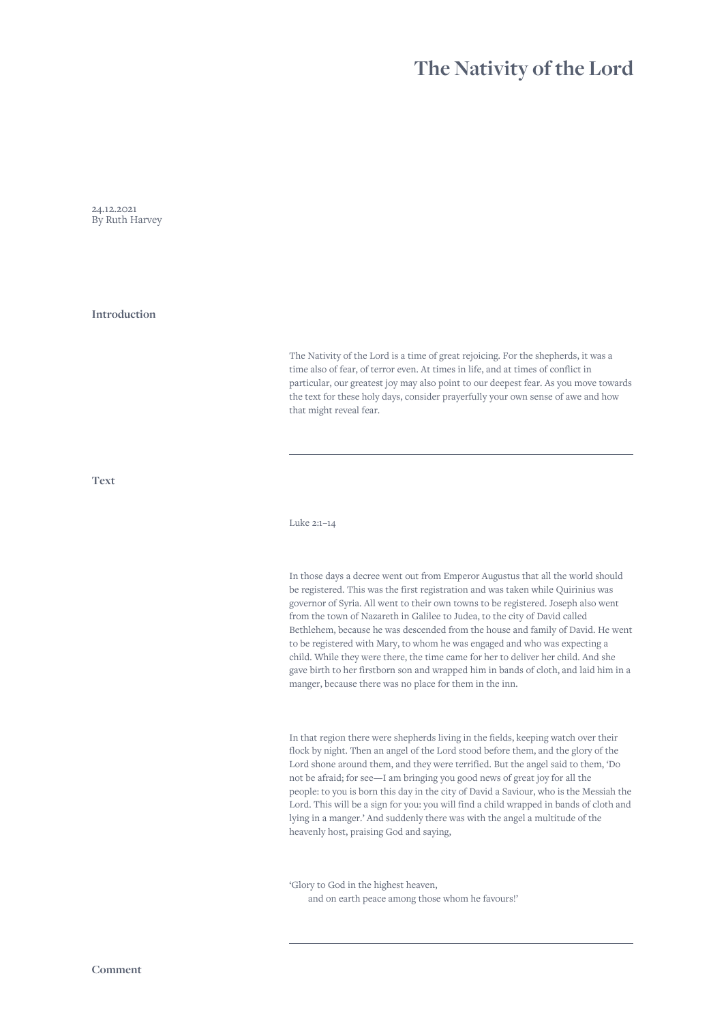## **The Nativity of the Lord**

24.12.2021 By Ruth Harvey

**Introduction**

The Nativity of the Lord is a time of great rejoicing. For the shepherds, it was a time also of fear, of terror even. At times in life, and at times of conflict in particular, our greatest joy may also point to our deepest fear. As you move towards the text for these holy days, consider prayerfully your own sense of awe and how that might reveal fear.

**Text**

Luke 2:1–14

In those days a decree went out from Emperor Augustus that all the world should be registered. This was the first registration and was taken while Quirinius was governor of Syria. All went to their own towns to be registered. Joseph also went from the town of Nazareth in Galilee to Judea, to the city of David called Bethlehem, because he was descended from the house and family of David. He went to be registered with Mary, to whom he was engaged and who was expecting a child. While they were there, the time came for her to deliver her child. And she gave birth to her firstborn son and wrapped him in bands of cloth, and laid him in a manger, because there was no place for them in the inn.

In that region there were shepherds living in the fields, keeping watch over their flock by night. Then an angel of the Lord stood before them, and the glory of the Lord shone around them, and they were terrified. But the angel said to them, 'Do not be afraid; for see—I am bringing you good news of great joy for all the people: to you is born this day in the city of David a Saviour, who is the Messiah the Lord. This will be a sign for you: you will find a child wrapped in bands of cloth and lying in a manger.' And suddenly there was with the angel a multitude of the heavenly host, praising God and saying,

'Glory to God in the highest heaven, and on earth peace among those whom he favours!'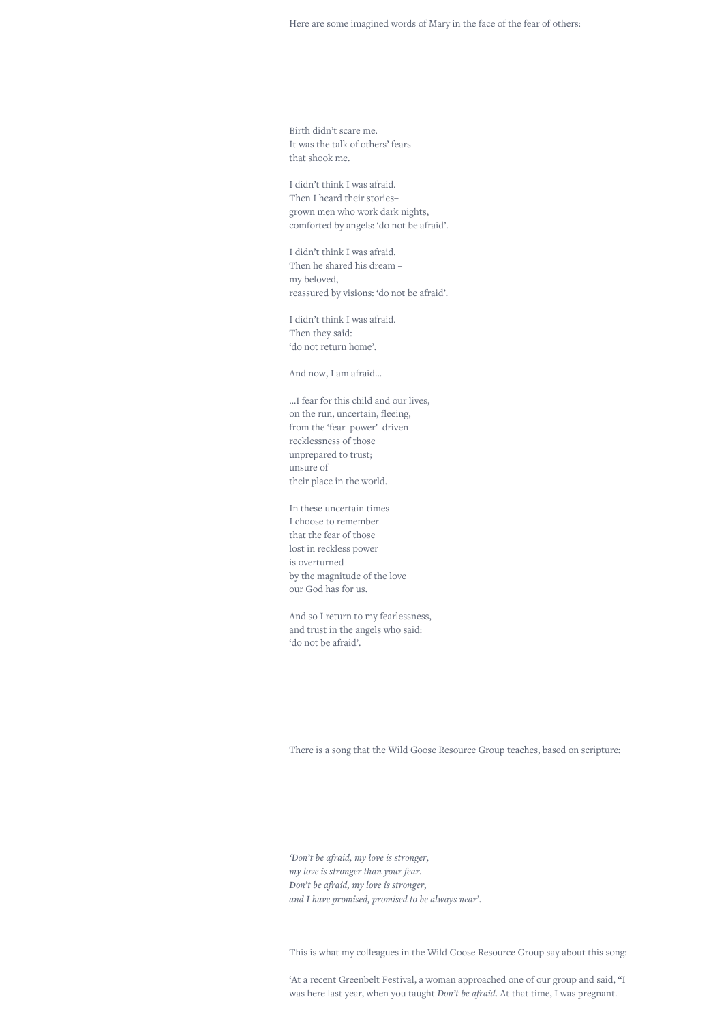Birth didn't scare me. It was the talk of others' fears that shook me.

I didn't think I was afraid. Then I heard their stories– grown men who work dark nights, comforted by angels: 'do not be afraid'.

I didn't think I was afraid. Then he shared his dream – my beloved, reassured by visions: 'do not be afraid'.

I didn't think I was afraid. Then they said: 'do not return home'.

And now, I am afraid…

…I fear for this child and our lives, on the run, uncertain, fleeing, from the 'fear–power'–driven recklessness of those unprepared to trust; unsure of their place in the world.

In these uncertain times I choose to remember that the fear of those lost in reckless power is overturned by the magnitude of the love our God has for us.

And so I return to my fearlessness, and trust in the angels who said: 'do not be afraid'.

There is a song that the Wild Goose Resource Group teaches, based on scripture:

*'Don't be afraid, my love is stronger, my love is stronger than your fear. Don't be afraid, my love is stronger, and I have promised, promised to be always near'.*

This is what my colleagues in the Wild Goose Resource Group say about this song:

'At a recent Greenbelt Festival, a woman approached one of our group and said, "I was here last year, when you taught *Don't be afraid*. At that time, I was pregnant.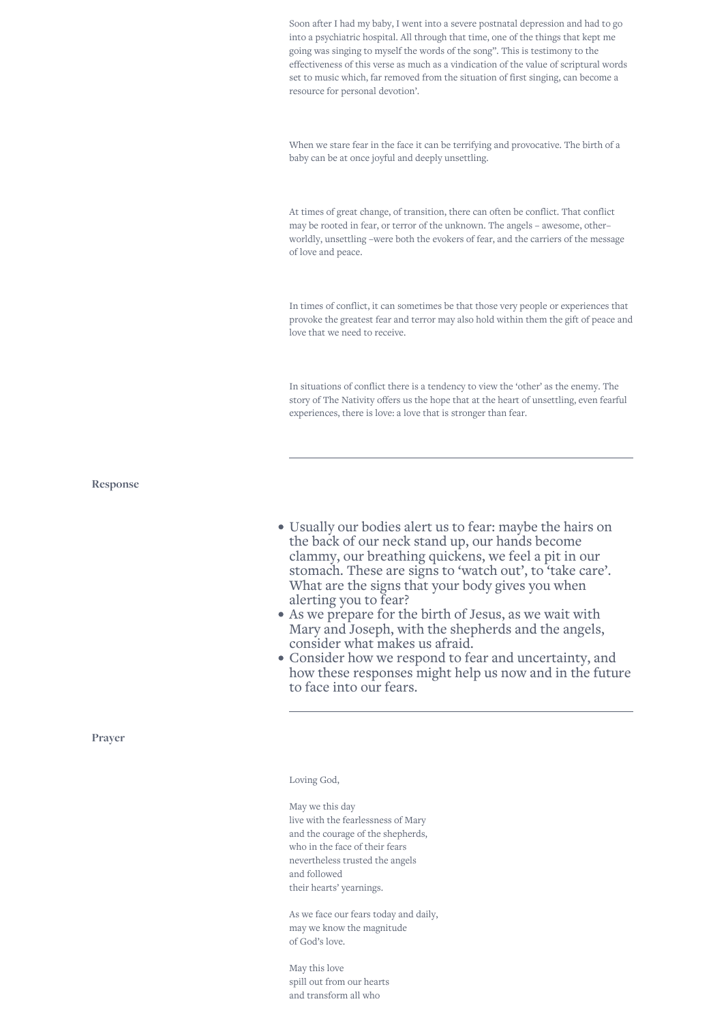Soon after I had my baby, I went into a severe postnatal depression and had to go into a psychiatric hospital. All through that time, one of the things that kept me going was singing to myself the words of the song". This is testimony to the effectiveness of this verse as much as a vindication of the value of scriptural words set to music which, far removed from the situation of first singing, can become a resource for personal devotion'.

When we stare fear in the face it can be terrifying and provocative. The birth of a baby can be at once joyful and deeply unsettling.

At times of great change, of transition, there can often be conflict. That conflict may be rooted in fear, or terror of the unknown. The angels – awesome, other– worldly, unsettling –were both the evokers of fear, and the carriers of the message of love and peace.

In times of conflict, it can sometimes be that those very people or experiences that provoke the greatest fear and terror may also hold within them the gift of peace and love that we need to receive.

In situations of conflict there is a tendency to view the 'other' as the enemy. The story of The Nativity offers us the hope that at the heart of unsettling, even fearful experiences, there is love: a love that is stronger than fear.

**Response**

- Usually our bodies alert us to fear: maybe the hairs on the back of our neck stand up, our hands become clammy, our breathing quickens, we feel a pit in our stomach. These are signs to 'watch out', to 'take care'. What are the signs that your body gives you when alerting you to fear?
- As we prepare for the birth of Jesus, as we wait with Mary and Joseph, with the shepherds and the angels, consider what makes us afraid.
- Consider how we respond to fear and uncertainty, and how these responses might help us now and in the future to face into our fears.

**Prayer**

## Loving God,

May we this day live with the fearlessness of Mary and the courage of the shepherds, who in the face of their fears nevertheless trusted the angels and followed their hearts' yearnings.

As we face our fears today and daily, may we know the magnitude of God's love.

May this love spill out from our hearts and transform all who